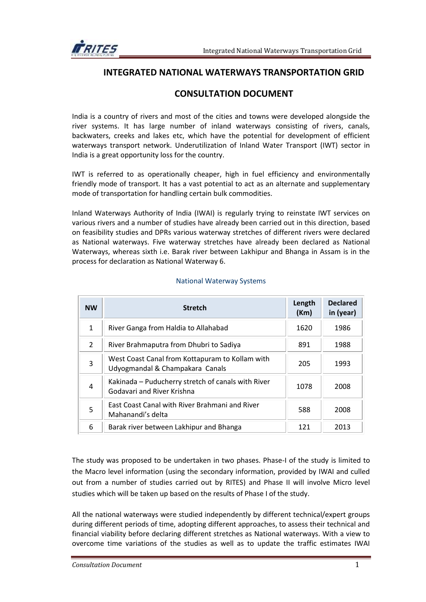

# **INTEGRATED NATIONAL WATERWAYS TRANSPORTATION GRID**

# **CONSULTATION DOCUMENT**

India is a country of rivers and most of the cities and towns were developed alongside the river systems. It has large number of inland waterways consisting of rivers, canals, backwaters, creeks and lakes etc, which have the potential for development of efficient waterways transport network. Underutilization of Inland Water Transport (IWT) sector in India is a great opportunity loss for the country.

IWT is referred to as operationally cheaper, high in fuel efficiency and environmentally friendly mode of transport. It has a vast potential to act as an alternate and supplementary mode of transportation for handling certain bulk commodities.

Inland Waterways Authority of India (IWAI) is regularly trying to reinstate IWT services on various rivers and a number of studies have already been carried out in this direction, based on feasibility studies and DPRs various waterway stretches of different rivers were declared as National waterways. Five waterway stretches have already been declared as National Waterways, whereas sixth i.e. Barak river between Lakhipur and Bhanga in Assam is in the process for declaration as National Waterway 6.

| <b>NW</b>      | <b>Stretch</b>                                                                     | Length<br>(Km) | <b>Declared</b><br>in (year) |
|----------------|------------------------------------------------------------------------------------|----------------|------------------------------|
| $\mathbf{1}$   | River Ganga from Haldia to Allahabad                                               | 1620           | 1986                         |
| $\overline{2}$ | River Brahmaputra from Dhubri to Sadiya                                            | 891            | 1988                         |
| 3              | West Coast Canal from Kottapuram to Kollam with<br>Udyogmandal & Champakara Canals | 205            | 1993                         |
| 4              | Kakinada - Puducherry stretch of canals with River<br>Godavari and River Krishna   | 1078           | 2008                         |
| 5              | East Coast Canal with River Brahmani and River<br>Mahanandi's delta                | 588            | 2008                         |
| 6              | Barak river between Lakhipur and Bhanga                                            | 121            | 2013                         |

#### National Waterway Systems

The study was proposed to be undertaken in two phases. Phase-I of the study is limited to the Macro level information (using the secondary information, provided by IWAI and culled out from a number of studies carried out by RITES) and Phase II will involve Micro level studies which will be taken up based on the results of Phase I of the study.

All the national waterways were studied independently by different technical/expert groups during different periods of time, adopting different approaches, to assess their technical and financial viability before declaring different stretches as National waterways. With a view to overcome time variations of the studies as well as to update the traffic estimates IWAI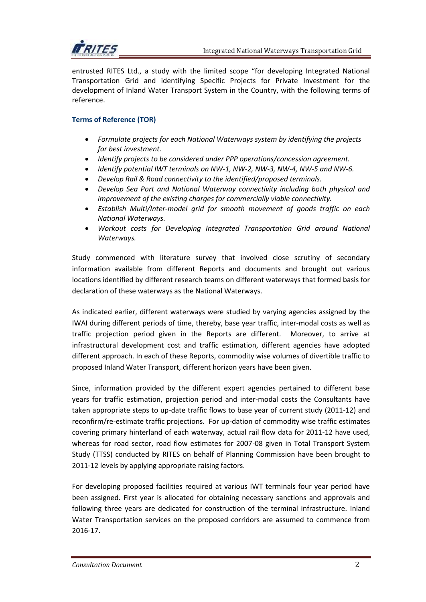

entrusted RITES Ltd., a study with the limited scope "for developing Integrated National Transportation Grid and identifying Specific Projects for Private Investment for the development of Inland Water Transport System in the Country, with the following terms of reference.

## **Terms of Reference (TOR)**

- *Formulate projects for each National Waterways system by identifying the projects for best investment.*
- *Identify projects to be considered under PPP operations/concession agreement.*
- *Identify potential IWT terminals on NW-1, NW-2, NW-3, NW-4, NW-5 and NW-6.*
- *Develop Rail & Road connectivity to the identified/proposed terminals.*
- *Develop Sea Port and National Waterway connectivity including both physical and improvement of the existing charges for commercially viable connectivity.*
- *Establish Multi/Inter-model grid for smooth movement of goods traffic on each National Waterways.*
- *Workout costs for Developing Integrated Transportation Grid around National Waterways.*

Study commenced with literature survey that involved close scrutiny of secondary information available from different Reports and documents and brought out various locations identified by different research teams on different waterways that formed basis for declaration of these waterways as the National Waterways.

As indicated earlier, different waterways were studied by varying agencies assigned by the IWAI during different periods of time, thereby, base year traffic, inter-modal costs as well as traffic projection period given in the Reports are different. Moreover, to arrive at infrastructural development cost and traffic estimation, different agencies have adopted different approach. In each of these Reports, commodity wise volumes of divertible traffic to proposed Inland Water Transport, different horizon years have been given.

Since, information provided by the different expert agencies pertained to different base years for traffic estimation, projection period and inter-modal costs the Consultants have taken appropriate steps to up-date traffic flows to base year of current study (2011-12) and reconfirm/re-estimate traffic projections. For up-dation of commodity wise traffic estimates covering primary hinterland of each waterway, actual rail flow data for 2011-12 have used, whereas for road sector, road flow estimates for 2007-08 given in Total Transport System Study (TTSS) conducted by RITES on behalf of Planning Commission have been brought to 2011-12 levels by applying appropriate raising factors.

For developing proposed facilities required at various IWT terminals four year period have been assigned. First year is allocated for obtaining necessary sanctions and approvals and following three years are dedicated for construction of the terminal infrastructure. Inland Water Transportation services on the proposed corridors are assumed to commence from 2016-17.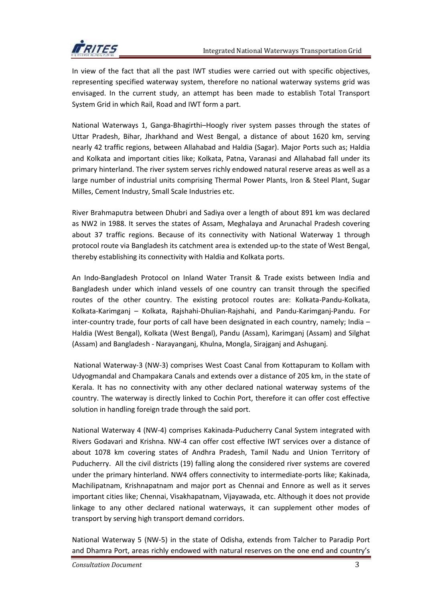

In view of the fact that all the past IWT studies were carried out with specific objectives, representing specified waterway system, therefore no national waterway systems grid was envisaged. In the current study, an attempt has been made to establish Total Transport System Grid in which Rail, Road and IWT form a part.

National Waterways 1, Ganga-Bhagirthi–Hoogly river system passes through the states of Uttar Pradesh, Bihar, Jharkhand and West Bengal, a distance of about 1620 km, serving nearly 42 traffic regions, between Allahabad and Haldia (Sagar). Major Ports such as; Haldia and Kolkata and important cities like; Kolkata, Patna, Varanasi and Allahabad fall under its primary hinterland. The river system serves richly endowed natural reserve areas as well as a large number of industrial units comprising Thermal Power Plants, Iron & Steel Plant, Sugar Milles, Cement Industry, Small Scale Industries etc.

River Brahmaputra between Dhubri and Sadiya over a length of about 891 km was declared as NW2 in 1988. It serves the states of Assam, Meghalaya and Arunachal Pradesh covering about 37 traffic regions. Because of its connectivity with National Waterway 1 through protocol route via Bangladesh its catchment area is extended up-to the state of West Bengal, thereby establishing its connectivity with Haldia and Kolkata ports.

An Indo-Bangladesh Protocol on Inland Water Transit & Trade exists between India and Bangladesh under which inland vessels of one country can transit through the specified routes of the other country. The existing protocol routes are: Kolkata-Pandu-Kolkata, Kolkata-Karimganj – Kolkata, Rajshahi-Dhulian-Rajshahi, and Pandu-Karimganj-Pandu. For inter-country trade, four ports of call have been designated in each country, namely; India – Haldia (West Bengal), Kolkata (West Bengal), Pandu (Assam), Karimganj (Assam) and Silghat (Assam) and Bangladesh - Narayanganj, Khulna, Mongla, Sirajganj and Ashuganj.

National Waterway-3 (NW-3) comprises West Coast Canal from Kottapuram to Kollam with Udyogmandal and Champakara Canals and extends over a distance of 205 km, in the state of Kerala. It has no connectivity with any other declared national waterway systems of the country. The waterway is directly linked to Cochin Port, therefore it can offer cost effective solution in handling foreign trade through the said port.

National Waterway 4 (NW-4) comprises Kakinada-Puducherry Canal System integrated with Rivers Godavari and Krishna. NW-4 can offer cost effective IWT services over a distance of about 1078 km covering states of Andhra Pradesh, Tamil Nadu and Union Territory of Puducherry. All the civil districts (19) falling along the considered river systems are covered under the primary hinterland. NW4 offers connectivity to intermediate-ports like; Kakinada, Machilipatnam, Krishnapatnam and major port as Chennai and Ennore as well as it serves important cities like; Chennai, Visakhapatnam, Vijayawada, etc. Although it does not provide linkage to any other declared national waterways, it can supplement other modes of transport by serving high transport demand corridors.

National Waterway 5 (NW-5) in the state of Odisha, extends from Talcher to Paradip Port and Dhamra Port, areas richly endowed with natural reserves on the one end and country's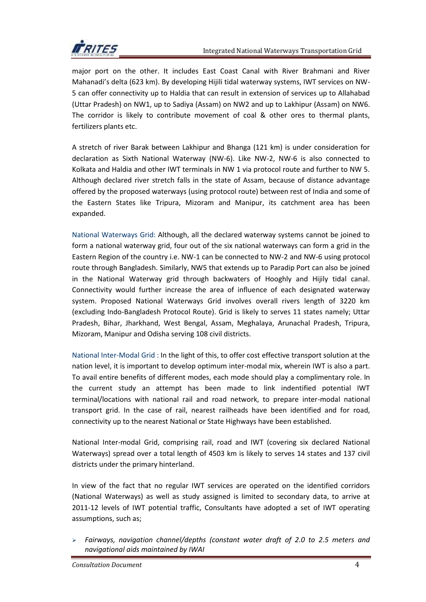major port on the other. It includes East Coast Canal with River Brahmani and River Mahanadi's delta (623 km). By developing Hijili tidal waterway systems, IWT services on NW-5 can offer connectivity up to Haldia that can result in extension of services up to Allahabad (Uttar Pradesh) on NW1, up to Sadiya (Assam) on NW2 and up to Lakhipur (Assam) on NW6. The corridor is likely to contribute movement of coal & other ores to thermal plants, fertilizers plants etc.

A stretch of river Barak between Lakhipur and Bhanga (121 km) is under consideration for declaration as Sixth National Waterway (NW-6). Like NW-2, NW-6 is also connected to Kolkata and Haldia and other IWT terminals in NW 1 via protocol route and further to NW 5. Although declared river stretch falls in the state of Assam, because of distance advantage offered by the proposed waterways (using protocol route) between rest of India and some of the Eastern States like Tripura, Mizoram and Manipur, its catchment area has been expanded.

National Waterways Grid: Although, all the declared waterway systems cannot be joined to form a national waterway grid, four out of the six national waterways can form a grid in the Eastern Region of the country i.e. NW-1 can be connected to NW-2 and NW-6 using protocol route through Bangladesh. Similarly, NW5 that extends up to Paradip Port can also be joined in the National Waterway grid through backwaters of Hooghly and Hijily tidal canal. Connectivity would further increase the area of influence of each designated waterway system. Proposed National Waterways Grid involves overall rivers length of 3220 km (excluding Indo-Bangladesh Protocol Route). Grid is likely to serves 11 states namely; Uttar Pradesh, Bihar, Jharkhand, West Bengal, Assam, Meghalaya, Arunachal Pradesh, Tripura, Mizoram, Manipur and Odisha serving 108 civil districts.

National Inter-Modal Grid : In the light of this, to offer cost effective transport solution at the nation level, it is important to develop optimum inter-modal mix, wherein IWT is also a part. To avail entire benefits of different modes, each mode should play a complimentary role. In the current study an attempt has been made to link indentified potential IWT terminal/locations with national rail and road network, to prepare inter-modal national transport grid. In the case of rail, nearest railheads have been identified and for road, connectivity up to the nearest National or State Highways have been established.

National Inter-modal Grid, comprising rail, road and IWT (covering six declared National Waterways) spread over a total length of 4503 km is likely to serves 14 states and 137 civil districts under the primary hinterland.

In view of the fact that no regular IWT services are operated on the identified corridors (National Waterways) as well as study assigned is limited to secondary data, to arrive at 2011-12 levels of IWT potential traffic, Consultants have adopted a set of IWT operating assumptions, such as;

 *Fairways, navigation channel/depths (constant water draft of 2.0 to 2.5 meters and navigational aids maintained by IWAI*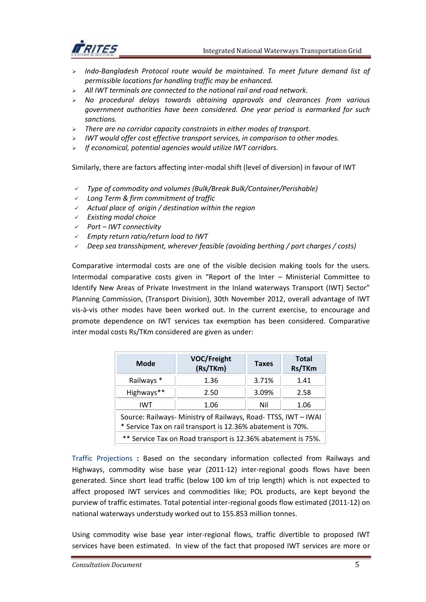

- *Indo-Bangladesh Protocol route would be maintained. To meet future demand list of permissible locations for handling traffic may be enhanced.*
- *All IWT terminals are connected to the national rail and road network.*
- *No procedural delays towards obtaining approvals and clearances from various government authorities have been considered. One year period is earmarked for such sanctions.*
- *There are no corridor capacity constraints in either modes of transport.*
- *IWT would offer cost effective transport services, in comparison to other modes.*
- *If economical, potential agencies would utilize IWT corridors.*

Similarly, there are factors affecting inter-modal shift (level of diversion) in favour of IWT

- *Type of commodity and volumes (Bulk/Break Bulk/Container/Perishable)*
- *Long Term & firm commitment of traffic*
- *Actual place of origin / destination within the region*
- *Existing modal choice*
- *Port – IWT connectivity*
- *Empty return ratio/return load to IWT*
- *Deep sea transshipment, wherever feasible (avoiding berthing / port charges / costs)*

Comparative intermodal costs are one of the visible decision making tools for the users. Intermodal comparative costs given in "Report of the Inter – Ministerial Committee to Identify New Areas of Private Investment in the Inland waterways Transport (IWT) Sector" Planning Commission, (Transport Division), 30th November 2012, overall advantage of IWT vis-à-vis other modes have been worked out. In the current exercise, to encourage and promote dependence on IWT services tax exemption has been considered. Comparative inter modal costs Rs/TKm considered are given as under:

| Mode                                                          | VOC/Freight<br>(Rs/TKm) | <b>Taxes</b> | <b>Total</b><br>Rs/TKm |  |  |  |  |  |
|---------------------------------------------------------------|-------------------------|--------------|------------------------|--|--|--|--|--|
| Railways *                                                    | 1.36                    | 3.71%        | 1.41                   |  |  |  |  |  |
| Highways**                                                    | 2.50                    | 3.09%        | 2.58                   |  |  |  |  |  |
| <b>IWT</b>                                                    | 1.06                    | Nil          | 1.06                   |  |  |  |  |  |
| Source: Railways- Ministry of Railways, Road-TTSS, IWT - IWAI |                         |              |                        |  |  |  |  |  |
| * Service Tax on rail transport is 12.36% abatement is 70%.   |                         |              |                        |  |  |  |  |  |
| ** Service Tax on Road transport is 12.36% abatement is 75%.  |                         |              |                        |  |  |  |  |  |

Traffic Projections **:** Based on the secondary information collected from Railways and Highways, commodity wise base year (2011-12) inter-regional goods flows have been generated. Since short lead traffic (below 100 km of trip length) which is not expected to affect proposed IWT services and commodities like; POL products, are kept beyond the purview of traffic estimates. Total potential inter-regional goods flow estimated (2011-12) on national waterways understudy worked out to 155.853 million tonnes.

Using commodity wise base year inter-regional flows, traffic divertible to proposed IWT services have been estimated. In view of the fact that proposed IWT services are more or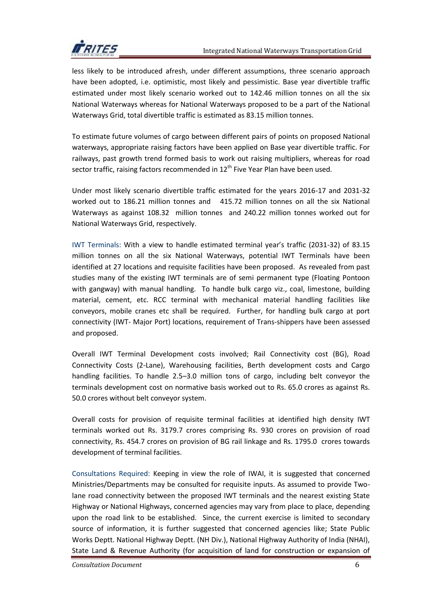

less likely to be introduced afresh, under different assumptions, three scenario approach have been adopted, i.e. optimistic, most likely and pessimistic. Base year divertible traffic estimated under most likely scenario worked out to 142.46 million tonnes on all the six National Waterways whereas for National Waterways proposed to be a part of the National Waterways Grid, total divertible traffic is estimated as 83.15 million tonnes.

To estimate future volumes of cargo between different pairs of points on proposed National waterways, appropriate raising factors have been applied on Base year divertible traffic. For railways, past growth trend formed basis to work out raising multipliers, whereas for road sector traffic, raising factors recommended in  $12<sup>th</sup>$  Five Year Plan have been used.

Under most likely scenario divertible traffic estimated for the years 2016-17 and 2031-32 worked out to 186.21 million tonnes and 415.72 million tonnes on all the six National Waterways as against 108.32 million tonnes and 240.22 million tonnes worked out for National Waterways Grid, respectively.

IWT Terminals: With a view to handle estimated terminal year's traffic (2031-32) of 83.15 million tonnes on all the six National Waterways, potential IWT Terminals have been identified at 27 locations and requisite facilities have been proposed. As revealed from past studies many of the existing IWT terminals are of semi permanent type (Floating Pontoon with gangway) with manual handling. To handle bulk cargo viz., coal, limestone, building material, cement, etc. RCC terminal with mechanical material handling facilities like conveyors, mobile cranes etc shall be required. Further, for handling bulk cargo at port connectivity (IWT- Major Port) locations, requirement of Trans-shippers have been assessed and proposed.

Overall IWT Terminal Development costs involved; Rail Connectivity cost (BG), Road Connectivity Costs (2-Lane), Warehousing facilities, Berth development costs and Cargo handling facilities. To handle 2.5-3.0 million tons of cargo, including belt conveyor the terminals development cost on normative basis worked out to Rs. 65.0 crores as against Rs. 50.0 crores without belt conveyor system.

Overall costs for provision of requisite terminal facilities at identified high density IWT terminals worked out Rs. 3179.7 crores comprising Rs. 930 crores on provision of road connectivity, Rs. 454.7 crores on provision of BG rail linkage and Rs. 1795.0 crores towards development of terminal facilities.

Consultations Required: Keeping in view the role of IWAI, it is suggested that concerned Ministries/Departments may be consulted for requisite inputs. As assumed to provide Twolane road connectivity between the proposed IWT terminals and the nearest existing State Highway or National Highways, concerned agencies may vary from place to place, depending upon the road link to be established. Since, the current exercise is limited to secondary source of information, it is further suggested that concerned agencies like; State Public Works Deptt. National Highway Deptt. (NH Div.), National Highway Authority of India (NHAI), State Land & Revenue Authority (for acquisition of land for construction or expansion of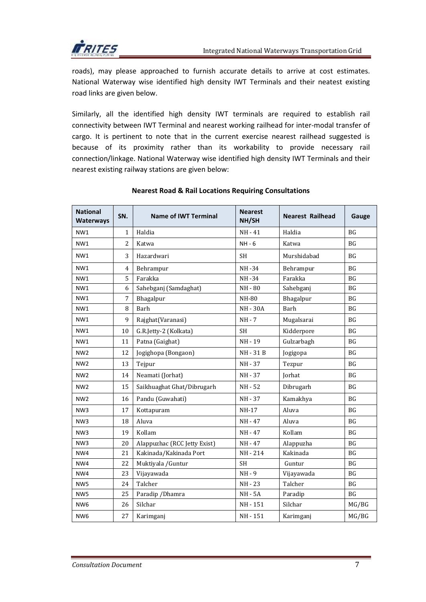

roads), may please approached to furnish accurate details to arrive at cost estimates. National Waterway wise identified high density IWT Terminals and their neatest existing road links are given below.

Similarly, all the identified high density IWT terminals are required to establish rail connectivity between IWT Terminal and nearest working railhead for inter-modal transfer of cargo. It is pertinent to note that in the current exercise nearest railhead suggested is because of its proximity rather than its workability to provide necessary rail connection/linkage. National Waterway wise identified high density IWT Terminals and their nearest existing railway stations are given below:

| <b>National</b><br><b>Waterways</b> | SN.            | <b>Name of IWT Terminal</b>  | <b>Nearest</b><br>NH/SH | <b>Nearest Railhead</b> | Gauge                   |
|-------------------------------------|----------------|------------------------------|-------------------------|-------------------------|-------------------------|
| NW1                                 | $\mathbf{1}$   | Haldia                       | NH - 41                 | Haldia                  | BG                      |
| NW1                                 | $\overline{2}$ | Katwa                        | $NH - 6$                | Katwa                   | BG                      |
| NW1                                 | 3              | Hazardwari                   | <b>SH</b>               | Murshidabad             | BG                      |
| NW1                                 | 4              | Behrampur                    | NH -34                  | Behrampur               | <b>BG</b>               |
| NW1                                 | 5              | Farakka                      | NH -34                  | Farakka                 | BG <sub>r</sub>         |
| NW1                                 | 6              | Sahebganj (Samdaghat)        | NH - 80                 | Sahebganj               | BG                      |
| NW1                                 | 7              | Bhagalpur                    | <b>NH-80</b>            | Bhagalpur               | $\mathbf{B} \mathbf{G}$ |
| NW1                                 | 8              | Barh                         | <b>NH-30A</b>           | Barh                    | BG <sub>r</sub>         |
| NW1                                 | 9              | Rajghat(Varanasi)            | NH - 7                  | Mugalsarai              | BG                      |
| NW1                                 | 10             | G.R.Jetty-2 (Kolkata)        | <b>SH</b>               | Kidderpore              | BG                      |
| NW1                                 | 11             | Patna (Gaighat)              | NH - 19                 | Gulzarbagh              | BG                      |
| NW <sub>2</sub>                     | 12             | Jogighopa (Bongaon)          | NH - 31 B               | Jogigopa                | <b>BG</b>               |
| NW <sub>2</sub>                     | 13             | Tejpur                       | NH - 37                 | Tezpur                  | BG                      |
| NW <sub>2</sub>                     | 14             | Neamati (Jorhat)             | NH - 37                 | Jorhat                  | BG                      |
| NW <sub>2</sub>                     | 15             | Saikhuaghat Ghat/Dibrugarh   | NH - 52                 | Dibrugarh               | BG <sub>r</sub>         |
| NW <sub>2</sub>                     | 16             | Pandu (Guwahati)             | NH - 37                 | Kamakhya                | BG <sub>r</sub>         |
| NW <sub>3</sub>                     | 17             | Kottapuram                   | NH-17                   | Aluva                   | $\mathbf{B} \mathbf{G}$ |
| NW <sub>3</sub>                     | 18             | Aluva                        | NH - 47                 | Aluva                   | <b>BG</b>               |
| NW <sub>3</sub>                     | 19             | Kollam                       | NH - 47                 | Kollam                  | BG                      |
| NW3                                 | 20             | Alappuzhac (RCC Jetty Exist) | NH - 47                 | Alappuzha               | $\mathbf{B} \mathbf{G}$ |
| NW4                                 | 21             | Kakinada/Kakinada Port       | NH - 214                | Kakinada                | BG                      |
| NW4                                 | 22             | Muktiyala / Guntur           | <b>SH</b>               | Guntur                  | BG                      |
| NW4                                 | 23             | Vijayawada                   | NH - 9                  | Vijayawada              | BG                      |
| NW <sub>5</sub>                     | 24             | Talcher                      | NH - 23                 | Talcher                 | <b>BG</b>               |
| NW <sub>5</sub>                     | 25             | Paradip / Dhamra             | <b>NH-5A</b>            | Paradip                 | BG                      |
| NW6                                 | 26             | Silchar                      | NH - 151                | Silchar                 | MG/BG                   |
| NW <sub>6</sub>                     | 27             | Karimganj                    | NH - 151                | Karimganj               | MG/BG                   |

### **Nearest Road & Rail Locations Requiring Consultations**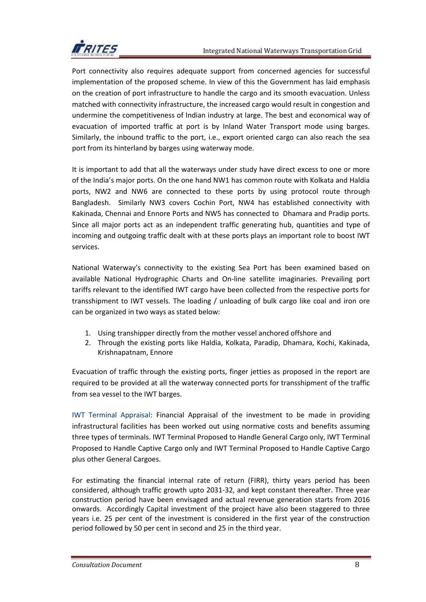

Port connectivity also requires adequate support from concerned agencies for successful implementation of the proposed scheme. In view of this the Government has laid emphasis on the creation of port infrastructure to handle the cargo and its smooth evacuation. Unless matched with connectivity infrastructure, the increased cargo would result in congestion and undermine the competitiveness of Indian industry at large. The best and economical way of evacuation of imported traffic at port is by Inland Water Transport mode using barges. Similarly, the inbound traffic to the port, i.e., export oriented cargo can also reach the sea port from its hinterland by barges using waterway mode.

It is important to add that all the waterways under study have direct excess to one or more of the India's major ports. On the one hand NW1 has common route with Kolkata and Haldia ports, NW2 and NW6 are connected to these ports by using protocol route through Bangladesh. Similarly NW3 covers Cochin Port, NW4 has established connectivity with Kakinada, Chennai and Ennore Ports and NW5 has connected to Dhamara and Pradip ports. Since all major ports act as an independent traffic generating hub, quantities and type of incoming and outgoing traffic dealt with at these ports plays an important role to boost IWT services.

National Waterway's connectivity to the existing Sea Port has been examined based on available National Hydrographic Charts and On-line satellite imaginaries. Prevailing port tariffs relevant to the identified IWT cargo have been collected from the respective ports for transshipment to IWT vessels. The loading / unloading of bulk cargo like coal and iron ore can be organized in two ways as stated below:

- 1. Using transhipper directly from the mother vessel anchored offshore and
- 2. Through the existing ports like Haldia, Kolkata, Paradip, Dhamara, Kochi, Kakinada, Krishnapatnam, Ennore

Evacuation of traffic through the existing ports, finger jetties as proposed in the report are required to be provided at all the waterway connected ports for transshipment of the traffic from sea vessel to the IWT barges.

IWT Terminal Appraisal: Financial Appraisal of the investment to be made in providing infrastructural facilities has been worked out using normative costs and benefits assuming three types of terminals. IWT Terminal Proposed to Handle General Cargo only, IWT Terminal Proposed to Handle Captive Cargo only and IWT Terminal Proposed to Handle Captive Cargo plus other General Cargoes.

For estimating the financial internal rate of return (FIRR), thirty years period has been considered, although traffic growth upto 2031-32, and kept constant thereafter. Three year construction period have been envisaged and actual revenue generation starts from 2016 onwards. Accordingly Capital investment of the project have also been staggered to three years i.e. 25 per cent of the investment is considered in the first year of the construction period followed by 50 per cent in second and 25 in the third year.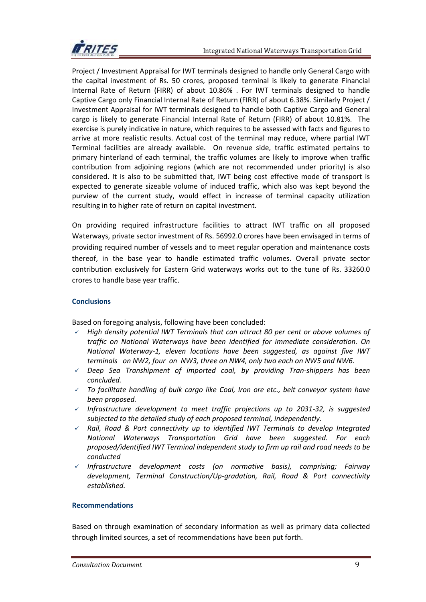

Project / Investment Appraisal for IWT terminals designed to handle only General Cargo with the capital investment of Rs. 50 crores, proposed terminal is likely to generate Financial Internal Rate of Return (FIRR) of about 10.86% . For IWT terminals designed to handle Captive Cargo only Financial Internal Rate of Return (FIRR) of about 6.38%. Similarly Project / Investment Appraisal for IWT terminals designed to handle both Captive Cargo and General cargo is likely to generate Financial Internal Rate of Return (FIRR) of about 10.81%. The exercise is purely indicative in nature, which requires to be assessed with facts and figures to arrive at more realistic results. Actual cost of the terminal may reduce, where partial IWT Terminal facilities are already available. On revenue side, traffic estimated pertains to primary hinterland of each terminal, the traffic volumes are likely to improve when traffic contribution from adjoining regions (which are not recommended under priority) is also considered. It is also to be submitted that, IWT being cost effective mode of transport is expected to generate sizeable volume of induced traffic, which also was kept beyond the purview of the current study, would effect in increase of terminal capacity utilization resulting in to higher rate of return on capital investment.

On providing required infrastructure facilities to attract IWT traffic on all proposed Waterways, private sector investment of Rs. 56992.0 crores have been envisaged in terms of providing required number of vessels and to meet regular operation and maintenance costs thereof, in the base year to handle estimated traffic volumes. Overall private sector contribution exclusively for Eastern Grid waterways works out to the tune of Rs. 33260.0 crores to handle base year traffic.

## **Conclusions**

Based on foregoing analysis, following have been concluded:

- *High density potential IWT Terminals that can attract 80 per cent or above volumes of traffic on National Waterways have been identified for immediate consideration. On National Waterway-1, eleven locations have been suggested, as against five IWT terminals on NW2, four on NW3, three on NW4, only two each on NW5 and NW6.*
- *Deep Sea Transhipment of imported coal, by providing Tran-shippers has been concluded.*
- *To facilitate handling of bulk cargo like Coal, Iron ore etc., belt conveyor system have been proposed.*
- *Infrastructure development to meet traffic projections up to 2031-32, is suggested subjected to the detailed study of each proposed terminal, independently.*
- *Rail, Road & Port connectivity up to identified IWT Terminals to develop Integrated National Waterways Transportation Grid have been suggested. For each proposed/identified IWT Terminal independent study to firm up rail and road needs to be conducted*
- *Infrastructure development costs (on normative basis), comprising; Fairway development, Terminal Construction/Up-gradation, Rail, Road & Port connectivity established.*

#### **Recommendations**

Based on through examination of secondary information as well as primary data collected through limited sources, a set of recommendations have been put forth.